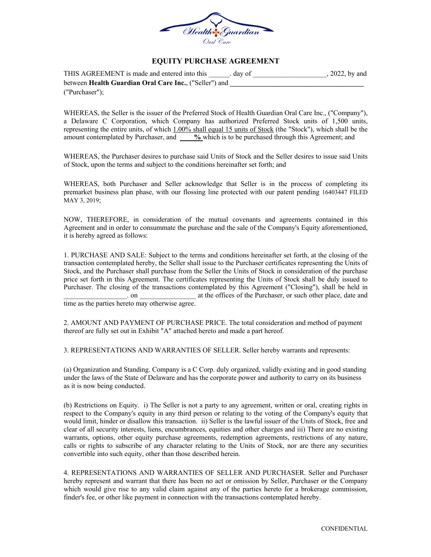

### **EQUITY PURCHASE AGREEMENT**

| THIS AGREEMENT is made and entered into this           | . dav of | $, 2022$ , by and |
|--------------------------------------------------------|----------|-------------------|
| between Health Guardian Oral Care Inc., ("Seller") and |          |                   |
| ("Purchaser");                                         |          |                   |

WHEREAS, the Seller is the issuer of the Preferred Stock of Health Guardian Oral Care Inc., ("Company"), a Delaware C Corporation, which Company has authorized Preferred Stock units of 1,500 units, representing the entire units, of which 1.00% shall equal 15 units of Stock (the "Stock"), which shall be the amount contemplated by Purchaser, and **%** which is to be purchased through this Agreement; and

WHEREAS, the Purchaser desires to purchase said Units of Stock and the Seller desires to issue said Units of Stock, upon the terms and subject to the conditions hereinafter set forth; and

WHEREAS, both Purchaser and Seller acknowledge that Seller is in the process of completing its premarket business plan phase, with our flossing line protected with our patent pending 16403447 FILED MAY 3, 2019;

NOW, THEREFORE, in consideration of the mutual covenants and agreements contained in this Agreement and in order to consummate the purchase and the sale of the Company's Equity aforementioned, it is hereby agreed as follows:

1. PURCHASE AND SALE: Subject to the terms and conditions hereinafter set forth, at the closing of the transaction contemplated hereby, the Seller shall issue to the Purchaser certificates representing the Units of Stock, and the Purchaser shall purchase from the Seller the Units of Stock in consideration of the purchase price set forth in this Agreement. The certificates representing the Units of Stock shall be duly issued to Purchaser. The closing of the transactions contemplated by this Agreement ("Closing"), shall be held in \_\_\_\_\_\_\_\_\_\_\_\_\_\_\_\_\_\_. on \_\_\_\_\_\_\_\_\_\_\_\_\_\_\_\_ at the offices of the Purchaser, or such other place, date and time as the parties hereto may otherwise agree.

2. AMOUNT AND PAYMENT OF PURCHASE PRICE. The total consideration and method of payment thereof are fully set out in Exhibit "A" attached hereto and made a part hereof.

3. REPRESENTATIONS AND WARRANTIES OF SELLER. Seller hereby warrants and represents:

(a) Organization and Standing. Company is a C Corp. duly organized, validly existing and in good standing under the laws of the State of Delaware and has the corporate power and authority to carry on its business as it is now being conducted.

(b) Restrictions on Equity. i) The Seller is not a party to any agreement, written or oral, creating rights in respect to the Company's equity in any third person or relating to the voting of the Company's equity that would limit, hinder or disallow this transaction. ii) Seller is the lawful issuer of the Units of Stock, free and clear of all security interests, liens, encumbrances, equities and other charges and iii) There are no existing warrants, options, other equity purchase agreements, redemption agreements, restrictions of any nature, calls or rights to subscribe of any character relating to the Units of Stock, nor are there any securities convertible into such equity, other than those described herein.

4. REPRESENTATIONS AND WARRANTIES OF SELLER AND PURCHASER. Seller and Purchaser hereby represent and warrant that there has been no act or omission by Seller, Purchaser or the Company which would give rise to any valid claim against any of the parties hereto for a brokerage commission, finder's fee, or other like payment in connection with the transactions contemplated hereby.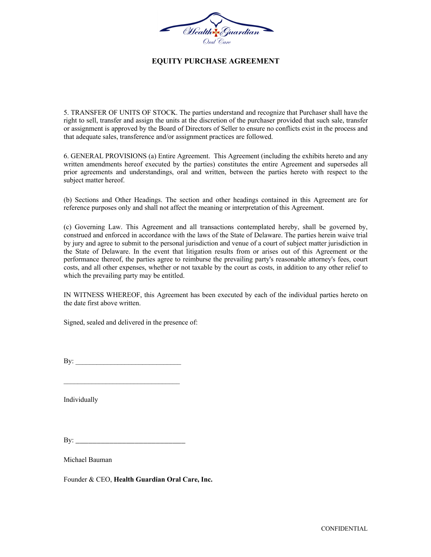

### **EQUITY PURCHASE AGREEMENT**

5. TRANSFER OF UNITS OF STOCK. The parties understand and recognize that Purchaser shall have the right to sell, transfer and assign the units at the discretion of the purchaser provided that such sale, transfer or assignment is approved by the Board of Directors of Seller to ensure no conflicts exist in the process and that adequate sales, transference and/or assignment practices are followed.

6. GENERAL PROVISIONS (a) Entire Agreement. This Agreement (including the exhibits hereto and any written amendments hereof executed by the parties) constitutes the entire Agreement and supersedes all prior agreements and understandings, oral and written, between the parties hereto with respect to the subject matter hereof.

(b) Sections and Other Headings. The section and other headings contained in this Agreement are for reference purposes only and shall not affect the meaning or interpretation of this Agreement.

(c) Governing Law. This Agreement and all transactions contemplated hereby, shall be governed by, construed and enforced in accordance with the laws of the State of Delaware. The parties herein waive trial by jury and agree to submit to the personal jurisdiction and venue of a court of subject matter jurisdiction in the State of Delaware. In the event that litigation results from or arises out of this Agreement or the performance thereof, the parties agree to reimburse the prevailing party's reasonable attorney's fees, court costs, and all other expenses, whether or not taxable by the court as costs, in addition to any other relief to which the prevailing party may be entitled.

IN WITNESS WHEREOF, this Agreement has been executed by each of the individual parties hereto on the date first above written.

Signed, sealed and delivered in the presence of:

 $\mathbf{B} \mathbf{y}$ :

Individually

 $\mathbf{By:}$ 

Michael Bauman

Founder & CEO, **Health Guardian Oral Care, Inc.**